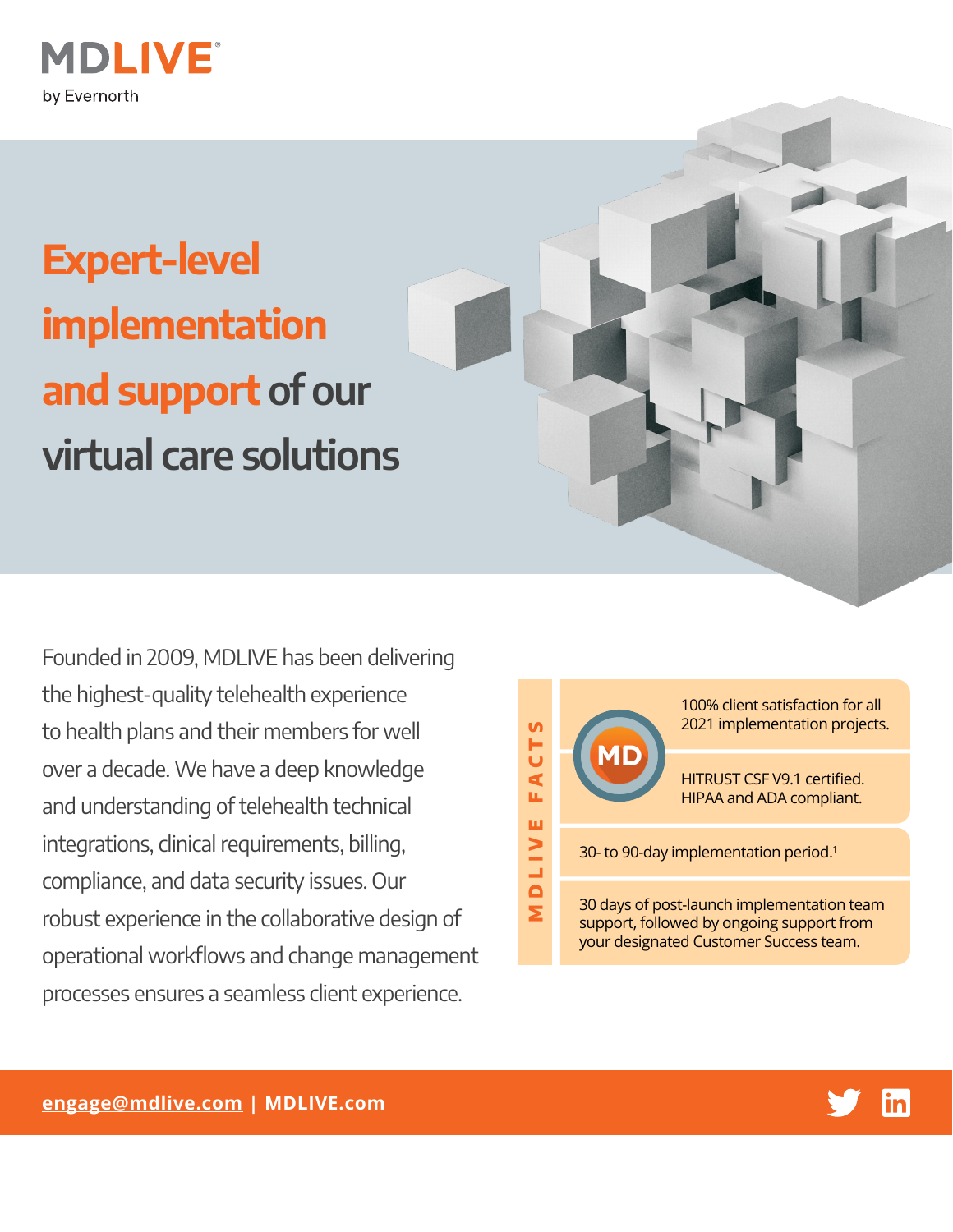

## **Expert-level implementation and support of our virtual care solutions**

Founded in 2009, MDLIVE has been delivering the highest-quality telehealth experience to health plans and their members for well over a decade. We have a deep knowledge and understanding of telehealth technical integrations, clinical requirements, billing, compliance, and data security issues. Our robust experience in the collaborative design of operational workflows and change management processes ensures a seamless client experience.